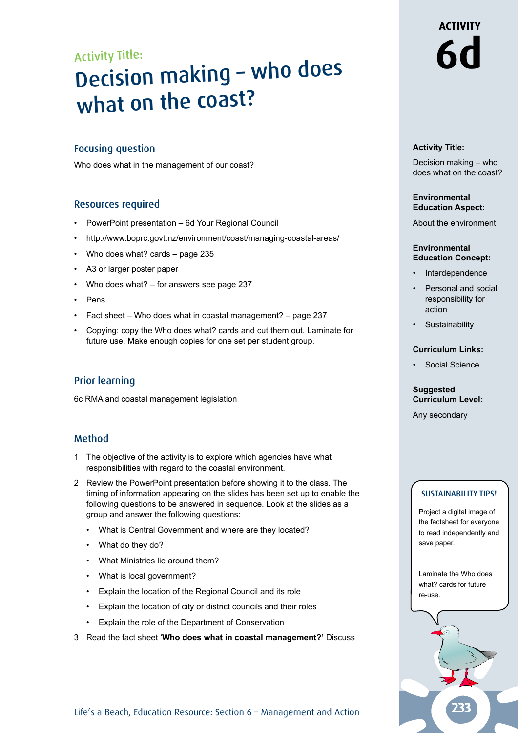# Activity Title: **Decision making - who does** what on the coast?

# Focusing question

Who does what in the management of our coast?

#### Resources required

- PowerPoint presentation 6d Your Regional Council
- http://www.boprc.govt.nz/environment/coast/managing-coastal-areas/
- Who does what? cards page 235
- A3 or larger poster paper
- Who does what? for answers see page 237
- Pens
- Fact sheet Who does what in coastal management? page 237
- Copying: copy the Who does what? cards and cut them out. Laminate for future use. Make enough copies for one set per student group.

## Prior learning

6c RMA and coastal management legislation

## Method

- 1 The objective of the activity is to explore which agencies have what responsibilities with regard to the coastal environment.
- 2 Review the PowerPoint presentation before showing it to the class. The timing of information appearing on the slides has been set up to enable the following questions to be answered in sequence. Look at the slides as a group and answer the following questions:
	- What is Central Government and where are they located?
	- What do they do?
	- What Ministries lie around them?
	- What is local government?
	- Explain the location of the Regional Council and its role
	- Explain the location of city or district councils and their roles
	- Explain the role of the Department of Conservation
- 3 Read the fact sheet '**Who does what in coastal management?'** Discuss

# **ACTIVITY**

#### **Activity Title:**

Decision making – who does what on the coast?

#### **Environmental Education Aspect:**

About the environment

#### **Environmental Education Concept:**

- **Interdependence**
- Personal and social responsibility for action
- **Sustainability**

#### **Curriculum Links:**

• Social Science

#### **Suggested Curriculum Level:**

Any secondary

#### Sustainability tipS!

Project a digital image of the factsheet for everyone to read independently and save paper.

Laminate the Who does what? cards for future re-use.



Life's a Beach, Education Resource: Section 6 - Management and Action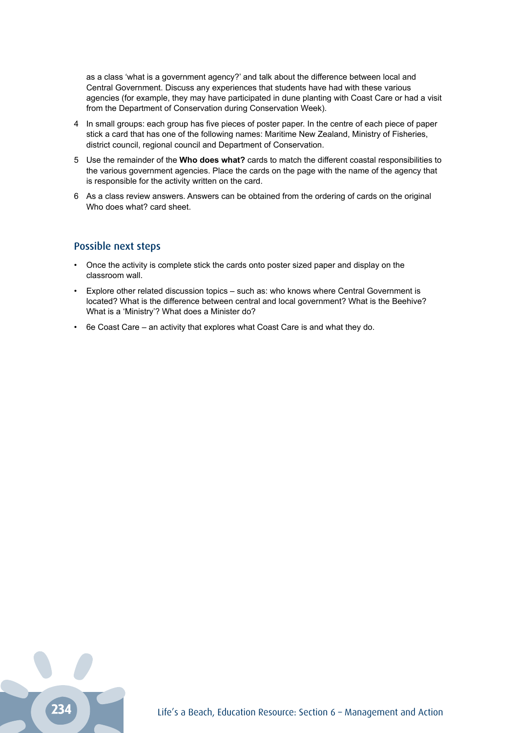as a class 'what is a government agency?' and talk about the difference between local and Central Government. Discuss any experiences that students have had with these various agencies (for example, they may have participated in dune planting with Coast Care or had a visit from the Department of Conservation during Conservation Week).

- 4 In small groups: each group has five pieces of poster paper. In the centre of each piece of paper stick a card that has one of the following names: Maritime New Zealand, Ministry of Fisheries, district council, regional council and Department of Conservation.
- 5 Use the remainder of the **Who does what?** cards to match the different coastal responsibilities to the various government agencies. Place the cards on the page with the name of the agency that is responsible for the activity written on the card.
- 6 As a class review answers. Answers can be obtained from the ordering of cards on the original Who does what? card sheet.

## Possible next steps

- Once the activity is complete stick the cards onto poster sized paper and display on the classroom wall.
- Explore other related discussion topics such as: who knows where Central Government is located? What is the difference between central and local government? What is the Beehive? What is a 'Ministry'? What does a Minister do?
- 6e Coast Care an activity that explores what Coast Care is and what they do.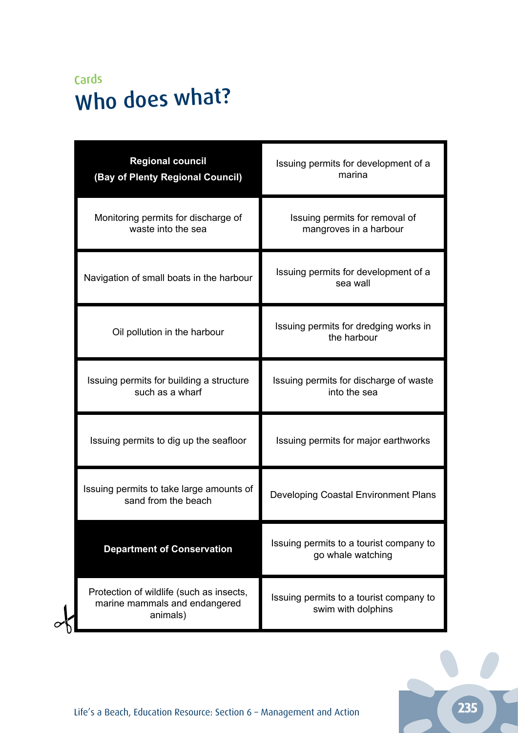# Cards Who does what?

|  | <b>Regional council</b><br>(Bay of Plenty Regional Council)                           | Issuing permits for development of a<br>marina                |
|--|---------------------------------------------------------------------------------------|---------------------------------------------------------------|
|  | Monitoring permits for discharge of<br>waste into the sea                             | Issuing permits for removal of<br>mangroves in a harbour      |
|  | Navigation of small boats in the harbour                                              | Issuing permits for development of a<br>sea wall              |
|  | Oil pollution in the harbour                                                          | Issuing permits for dredging works in<br>the harbour          |
|  | Issuing permits for building a structure<br>such as a wharf                           | Issuing permits for discharge of waste<br>into the sea        |
|  | Issuing permits to dig up the seafloor                                                | Issuing permits for major earthworks                          |
|  | Issuing permits to take large amounts of<br>sand from the beach                       | Developing Coastal Environment Plans                          |
|  | <b>Department of Conservation</b>                                                     | Issuing permits to a tourist company to<br>go whale watching  |
|  | Protection of wildlife (such as insects,<br>marine mammals and endangered<br>animals) | Issuing permits to a tourist company to<br>swim with dolphins |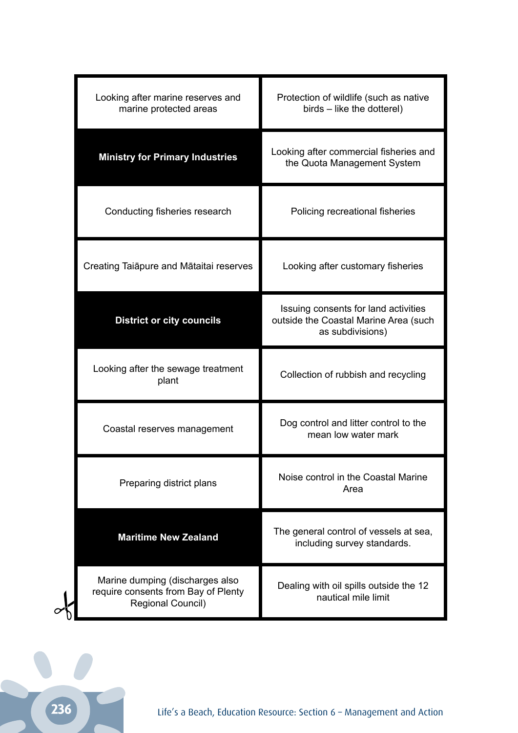| Looking after marine reserves and<br>marine protected areas                                 | Protection of wildlife (such as native<br>birds – like the dotterel)                              |
|---------------------------------------------------------------------------------------------|---------------------------------------------------------------------------------------------------|
| <b>Ministry for Primary Industries</b>                                                      | Looking after commercial fisheries and<br>the Quota Management System                             |
| Conducting fisheries research                                                               | Policing recreational fisheries                                                                   |
| Creating Taiapure and Mataitai reserves                                                     | Looking after customary fisheries                                                                 |
| <b>District or city councils</b>                                                            | Issuing consents for land activities<br>outside the Coastal Marine Area (such<br>as subdivisions) |
| Looking after the sewage treatment<br>plant                                                 | Collection of rubbish and recycling                                                               |
| Coastal reserves management                                                                 | Dog control and litter control to the<br>mean low water mark                                      |
| Preparing district plans                                                                    | Noise control in the Coastal Marine<br>Area                                                       |
| <b>Maritime New Zealand</b>                                                                 | The general control of vessels at sea,<br>including survey standards.                             |
| Marine dumping (discharges also<br>require consents from Bay of Plenty<br>Regional Council) | Dealing with oil spills outside the 12<br>nautical mile limit                                     |
|                                                                                             |                                                                                                   |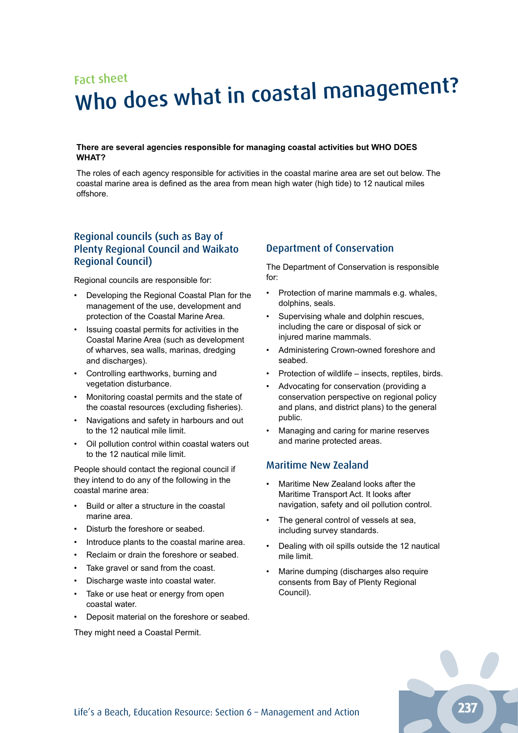# Fact sheet Who does what in coastal management?

#### **There are several agencies responsible for managing coastal activities but WHO DOES WHAT?**

The roles of each agency responsible for activities in the coastal marine area are set out below. The coastal marine area is defined as the area from mean high water (high tide) to 12 nautical miles offshore.

# Regional councils (such as Bay of Plenty Regional Council and Waikato Regional Council)

Regional councils are responsible for:

- Developing the Regional Coastal Plan for the management of the use, development and protection of the Coastal Marine Area.
- Issuing coastal permits for activities in the Coastal Marine Area (such as development of wharves, sea walls, marinas, dredging and discharges).
- Controlling earthworks, burning and vegetation disturbance.
- Monitoring coastal permits and the state of the coastal resources (excluding fisheries).
- Navigations and safety in harbours and out to the 12 nautical mile limit.
- Oil pollution control within coastal waters out to the 12 nautical mile limit.

People should contact the regional council if they intend to do any of the following in the coastal marine area:

- Build or alter a structure in the coastal marine area.
- Disturb the foreshore or seabed.
- Introduce plants to the coastal marine area.
- Reclaim or drain the foreshore or seabed.
- Take gravel or sand from the coast.
- Discharge waste into coastal water.
- Take or use heat or energy from open coastal water.
- Deposit material on the foreshore or seabed.

They might need a Coastal Permit.

# Department of Conservation

The Department of Conservation is responsible for:

- Protection of marine mammals e.g. whales, dolphins, seals.
- Supervising whale and dolphin rescues, including the care or disposal of sick or injured marine mammals.
- Administering Crown-owned foreshore and seabed.
- Protection of wildlife insects, reptiles, birds.
- Advocating for conservation (providing a conservation perspective on regional policy and plans, and district plans) to the general public.
- Managing and caring for marine reserves and marine protected areas.

## Maritime New Zealand

- Maritime New Zealand looks after the Maritime Transport Act. It looks after navigation, safety and oil pollution control.
- The general control of vessels at sea. including survey standards.
- Dealing with oil spills outside the 12 nautical mile limit.
- Marine dumping (discharges also require consents from Bay of Plenty Regional Council).